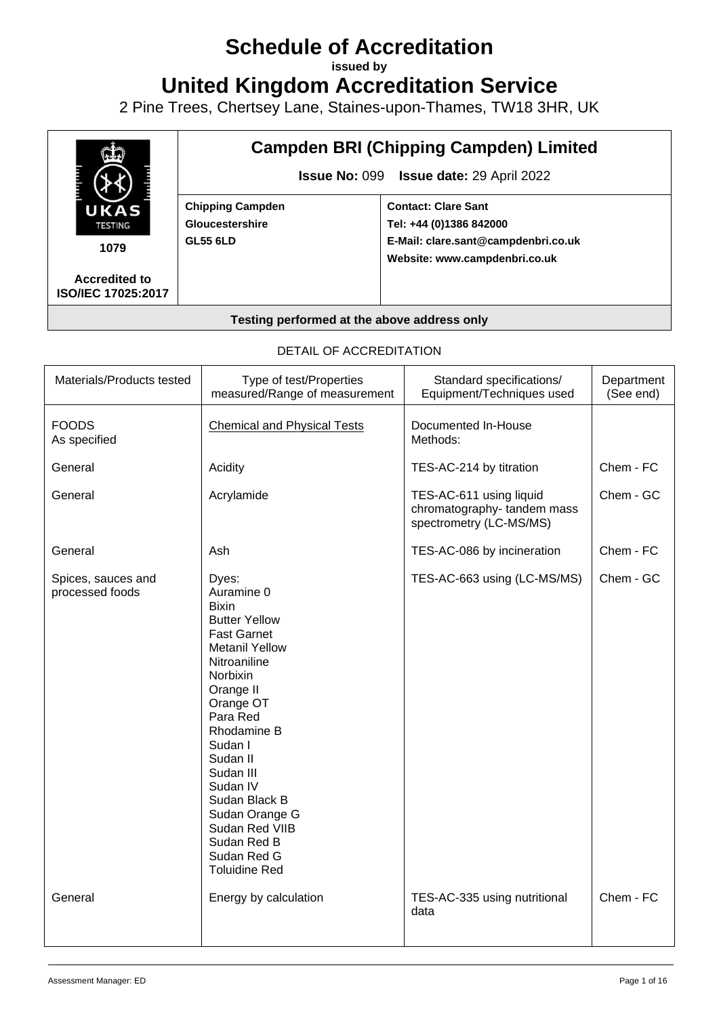# **Schedule of Accreditation**

**issued by**

**United Kingdom Accreditation Service**

2 Pine Trees, Chertsey Lane, Staines-upon-Thames, TW18 3HR, UK



#### **Testing performed at the above address only**

#### DETAIL OF ACCREDITATION

| Materials/Products tested             | Type of test/Properties<br>measured/Range of measurement                                                                                                                                                                                                                                                                                               | Standard specifications/<br>Equipment/Techniques used                            | Department<br>(See end) |
|---------------------------------------|--------------------------------------------------------------------------------------------------------------------------------------------------------------------------------------------------------------------------------------------------------------------------------------------------------------------------------------------------------|----------------------------------------------------------------------------------|-------------------------|
| <b>FOODS</b><br>As specified          | <b>Chemical and Physical Tests</b>                                                                                                                                                                                                                                                                                                                     | Documented In-House<br>Methods:                                                  |                         |
| General                               | Acidity                                                                                                                                                                                                                                                                                                                                                | TES-AC-214 by titration                                                          | Chem - FC               |
| General                               | Acrylamide                                                                                                                                                                                                                                                                                                                                             | TES-AC-611 using liquid<br>chromatography-tandem mass<br>spectrometry (LC-MS/MS) | Chem - GC               |
| General                               | Ash                                                                                                                                                                                                                                                                                                                                                    | TES-AC-086 by incineration                                                       | Chem - FC               |
| Spices, sauces and<br>processed foods | Dyes:<br>Auramine 0<br><b>Bixin</b><br><b>Butter Yellow</b><br><b>Fast Garnet</b><br><b>Metanil Yellow</b><br>Nitroaniline<br>Norbixin<br>Orange II<br>Orange OT<br>Para Red<br>Rhodamine B<br>Sudan I<br>Sudan II<br>Sudan III<br>Sudan IV<br>Sudan Black B<br>Sudan Orange G<br>Sudan Red VIIB<br>Sudan Red B<br>Sudan Red G<br><b>Toluidine Red</b> | TES-AC-663 using (LC-MS/MS)                                                      | Chem - GC               |
| General                               | Energy by calculation                                                                                                                                                                                                                                                                                                                                  | TES-AC-335 using nutritional<br>data                                             | Chem - FC               |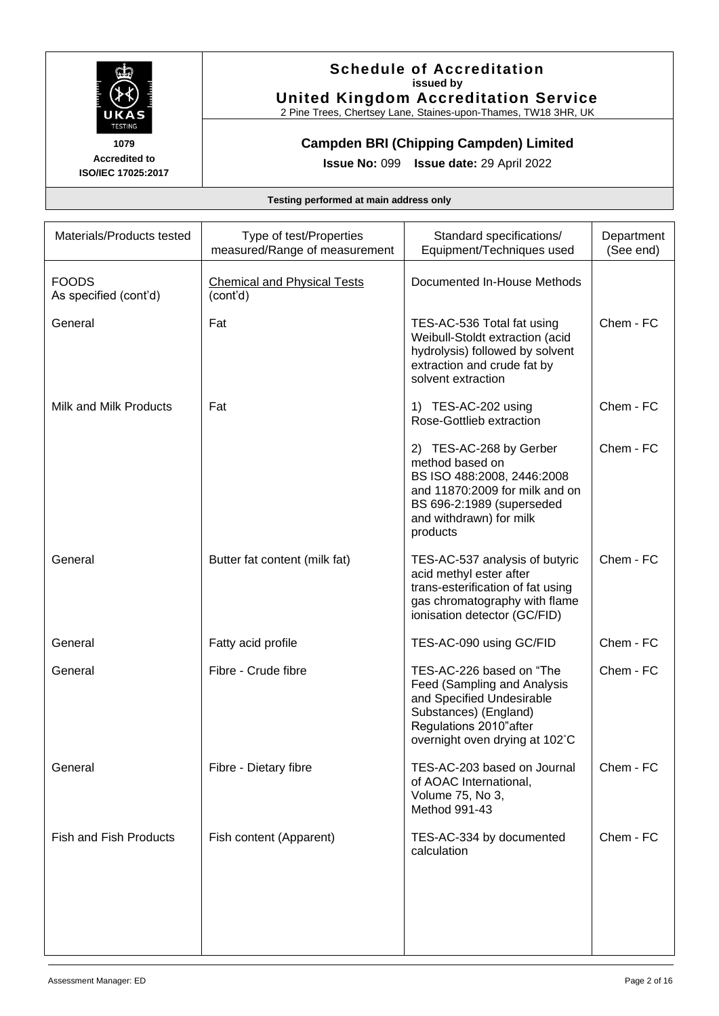

## **Schedule of Accreditation issued by United Kingdom Accreditation Service**

2 Pine Trees, Chertsey Lane, Staines-upon-Thames, TW18 3HR, UK

**Campden BRI (Chipping Campden) Limited** 

**Issue No:** 099 **Issue date:** 29 April 2022

| Materials/Products tested             | Type of test/Properties<br>measured/Range of measurement | Standard specifications/<br>Equipment/Techniques used                                                                                                                          | Department<br>(See end) |
|---------------------------------------|----------------------------------------------------------|--------------------------------------------------------------------------------------------------------------------------------------------------------------------------------|-------------------------|
| <b>FOODS</b><br>As specified (cont'd) | <b>Chemical and Physical Tests</b><br>(cont'd)           | Documented In-House Methods                                                                                                                                                    |                         |
| General                               | Fat                                                      | TES-AC-536 Total fat using<br>Weibull-Stoldt extraction (acid<br>hydrolysis) followed by solvent<br>extraction and crude fat by<br>solvent extraction                          | Chem - FC               |
| Milk and Milk Products                | Fat                                                      | 1) TES-AC-202 using<br>Rose-Gottlieb extraction                                                                                                                                | Chem - FC               |
|                                       |                                                          | 2) TES-AC-268 by Gerber<br>method based on<br>BS ISO 488:2008, 2446:2008<br>and 11870:2009 for milk and on<br>BS 696-2:1989 (superseded<br>and withdrawn) for milk<br>products | Chem - FC               |
| General                               | Butter fat content (milk fat)                            | TES-AC-537 analysis of butyric<br>acid methyl ester after<br>trans-esterification of fat using<br>gas chromatography with flame<br>ionisation detector (GC/FID)                | Chem - FC               |
| General                               | Fatty acid profile                                       | TES-AC-090 using GC/FID                                                                                                                                                        | Chem - FC               |
| General                               | Fibre - Crude fibre                                      | TES-AC-226 based on "The<br>Feed (Sampling and Analysis<br>and Specified Undesirable<br>Substances) (England)<br>Regulations 2010"after<br>overnight oven drying at 102°C      | Chem - FC               |
| General                               | Fibre - Dietary fibre                                    | TES-AC-203 based on Journal<br>of AOAC International,<br>Volume 75, No 3,<br>Method 991-43                                                                                     | Chem - FC               |
| <b>Fish and Fish Products</b>         | Fish content (Apparent)                                  | TES-AC-334 by documented<br>calculation                                                                                                                                        | Chem - FC               |
|                                       |                                                          |                                                                                                                                                                                |                         |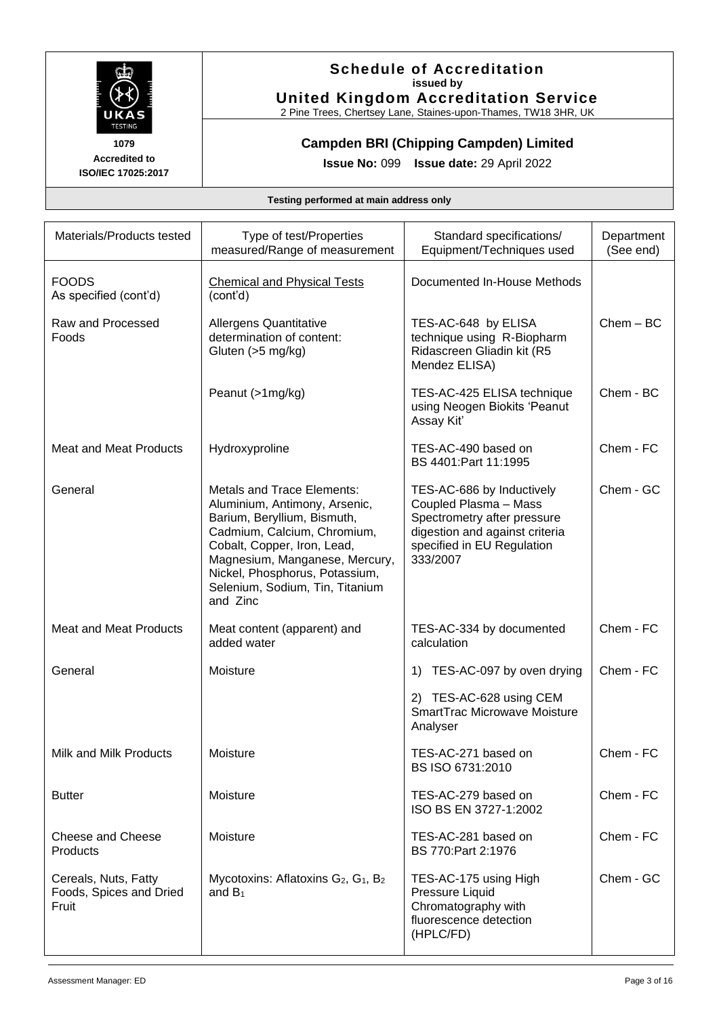

## **Schedule of Accreditation issued by United Kingdom Accreditation Service**

2 Pine Trees, Chertsey Lane, Staines-upon-Thames, TW18 3HR, UK

**Campden BRI (Chipping Campden) Limited** 

**Issue No:** 099 **Issue date:** 29 April 2022

| Materials/Products tested                                | Type of test/Properties<br>measured/Range of measurement                                                                                                                                                                                                                           | Standard specifications/<br>Equipment/Techniques used                                                                                                         | Department<br>(See end) |
|----------------------------------------------------------|------------------------------------------------------------------------------------------------------------------------------------------------------------------------------------------------------------------------------------------------------------------------------------|---------------------------------------------------------------------------------------------------------------------------------------------------------------|-------------------------|
| <b>FOODS</b><br>As specified (cont'd)                    | <b>Chemical and Physical Tests</b><br>(cont'd)                                                                                                                                                                                                                                     | Documented In-House Methods                                                                                                                                   |                         |
| Raw and Processed<br>Foods                               | Allergens Quantitative<br>determination of content:<br>Gluten (>5 mg/kg)                                                                                                                                                                                                           | TES-AC-648 by ELISA<br>technique using R-Biopharm<br>Ridascreen Gliadin kit (R5<br>Mendez ELISA)                                                              | $Chem - BC$             |
|                                                          | Peanut (>1mg/kg)                                                                                                                                                                                                                                                                   | TES-AC-425 ELISA technique<br>using Neogen Biokits 'Peanut<br>Assay Kit'                                                                                      | Chem - BC               |
| <b>Meat and Meat Products</b>                            | Hydroxyproline                                                                                                                                                                                                                                                                     | TES-AC-490 based on<br>BS 4401: Part 11:1995                                                                                                                  | Chem - FC               |
| General                                                  | <b>Metals and Trace Elements:</b><br>Aluminium, Antimony, Arsenic,<br>Barium, Beryllium, Bismuth,<br>Cadmium, Calcium, Chromium,<br>Cobalt, Copper, Iron, Lead,<br>Magnesium, Manganese, Mercury,<br>Nickel, Phosphorus, Potassium,<br>Selenium, Sodium, Tin, Titanium<br>and Zinc | TES-AC-686 by Inductively<br>Coupled Plasma - Mass<br>Spectrometry after pressure<br>digestion and against criteria<br>specified in EU Regulation<br>333/2007 | Chem - GC               |
| <b>Meat and Meat Products</b>                            | Meat content (apparent) and<br>added water                                                                                                                                                                                                                                         | TES-AC-334 by documented<br>calculation                                                                                                                       | Chem - FC               |
| General                                                  | Moisture                                                                                                                                                                                                                                                                           | TES-AC-097 by oven drying<br>1)<br>2) TES-AC-628 using CEM<br>SmartTrac Microwave Moisture<br>Analyser                                                        | Chem - FC               |
| Milk and Milk Products                                   | Moisture                                                                                                                                                                                                                                                                           | TES-AC-271 based on<br>BS ISO 6731:2010                                                                                                                       | Chem - FC               |
| <b>Butter</b>                                            | Moisture                                                                                                                                                                                                                                                                           | TES-AC-279 based on<br>ISO BS EN 3727-1:2002                                                                                                                  | Chem - FC               |
| Cheese and Cheese<br>Products                            | Moisture                                                                                                                                                                                                                                                                           | TES-AC-281 based on<br>BS 770: Part 2:1976                                                                                                                    | Chem - FC               |
| Cereals, Nuts, Fatty<br>Foods, Spices and Dried<br>Fruit | Mycotoxins: Aflatoxins G <sub>2</sub> , G <sub>1</sub> , B <sub>2</sub><br>and $B_1$                                                                                                                                                                                               | TES-AC-175 using High<br>Pressure Liquid<br>Chromatography with<br>fluorescence detection<br>(HPLC/FD)                                                        | Chem - GC               |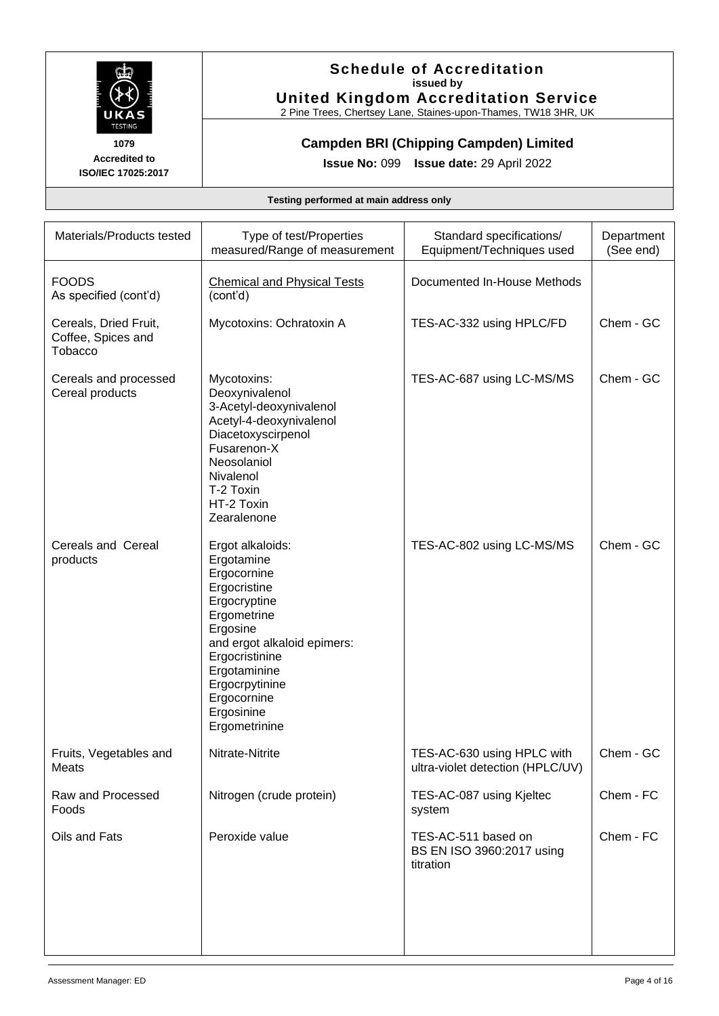

## **Schedule of Accreditation issued by United Kingdom Accreditation Service**

2 Pine Trees, Chertsey Lane, Staines-upon-Thames, TW18 3HR, UK

## **Campden BRI (Chipping Campden) Limited**

**Issue No:** 099 **Issue date:** 29 April 2022

| Materials/Products tested                              | Type of test/Properties<br>measured/Range of measurement                                                                                                                                                                                  | Standard specifications/<br>Equipment/Techniques used          | Department<br>(See end) |
|--------------------------------------------------------|-------------------------------------------------------------------------------------------------------------------------------------------------------------------------------------------------------------------------------------------|----------------------------------------------------------------|-------------------------|
| <b>FOODS</b><br>As specified (cont'd)                  | <b>Chemical and Physical Tests</b><br>(cont'd)                                                                                                                                                                                            | Documented In-House Methods                                    |                         |
| Cereals, Dried Fruit,<br>Coffee, Spices and<br>Tobacco | Mycotoxins: Ochratoxin A                                                                                                                                                                                                                  | TES-AC-332 using HPLC/FD                                       | Chem - GC               |
| Cereals and processed<br>Cereal products               | Mycotoxins:<br>Deoxynivalenol<br>3-Acetyl-deoxynivalenol<br>Acetyl-4-deoxynivalenol<br>Diacetoxyscirpenol<br>Fusarenon-X<br>Neosolaniol<br>Nivalenol<br>T-2 Toxin<br>HT-2 Toxin<br>Zearalenone                                            | TES-AC-687 using LC-MS/MS                                      | Chem - GC               |
| Cereals and Cereal<br>products                         | Ergot alkaloids:<br>Ergotamine<br>Ergocornine<br>Ergocristine<br>Ergocryptine<br>Ergometrine<br>Ergosine<br>and ergot alkaloid epimers:<br>Ergocristinine<br>Ergotaminine<br>Ergocrpytinine<br>Ergocornine<br>Ergosinine<br>Ergometrinine | TES-AC-802 using LC-MS/MS                                      | Chem - GC               |
| Fruits, Vegetables and<br>Meats                        | Nitrate-Nitrite                                                                                                                                                                                                                           | TES-AC-630 using HPLC with<br>ultra-violet detection (HPLC/UV) | Chem - GC               |
| Raw and Processed<br>Foods                             | Nitrogen (crude protein)                                                                                                                                                                                                                  | TES-AC-087 using Kjeltec<br>system                             | Chem - FC               |
| Oils and Fats                                          | Peroxide value                                                                                                                                                                                                                            | TES-AC-511 based on<br>BS EN ISO 3960:2017 using<br>titration  | Chem - FC               |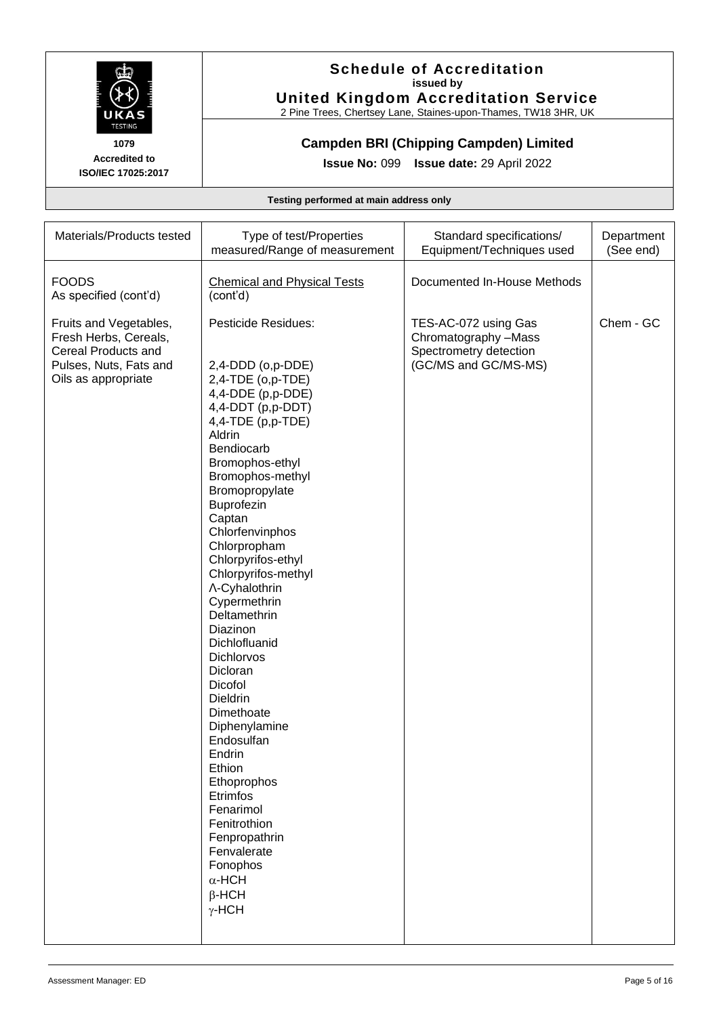

## **Schedule of Accreditation issued by United Kingdom Accreditation Service**

2 Pine Trees, Chertsey Lane, Staines-upon-Thames, TW18 3HR, UK

## **Campden BRI (Chipping Campden) Limited**

**Issue No:** 099 **Issue date:** 29 April 2022

| Materials/Products tested                                                                                               | Type of test/Properties<br>measured/Range of measurement                                                                                                                                                                                                                                                                                                                                                                                                                                                                                                                                                                                                                                 | Standard specifications/<br>Equipment/Techniques used                                          | Department<br>(See end) |
|-------------------------------------------------------------------------------------------------------------------------|------------------------------------------------------------------------------------------------------------------------------------------------------------------------------------------------------------------------------------------------------------------------------------------------------------------------------------------------------------------------------------------------------------------------------------------------------------------------------------------------------------------------------------------------------------------------------------------------------------------------------------------------------------------------------------------|------------------------------------------------------------------------------------------------|-------------------------|
| <b>FOODS</b><br>As specified (cont'd)                                                                                   | <b>Chemical and Physical Tests</b><br>(cont'd)                                                                                                                                                                                                                                                                                                                                                                                                                                                                                                                                                                                                                                           | Documented In-House Methods                                                                    |                         |
| Fruits and Vegetables,<br>Fresh Herbs, Cereals,<br>Cereal Products and<br>Pulses, Nuts, Fats and<br>Oils as appropriate | <b>Pesticide Residues:</b><br>2,4-DDD (o,p-DDE)<br>$2,4$ -TDE (o,p-TDE)<br>4,4-DDE (p,p-DDE)<br>4,4-DDT (p,p-DDT)<br>$4,4$ -TDE (p,p-TDE)<br>Aldrin<br>Bendiocarb<br>Bromophos-ethyl<br>Bromophos-methyl<br>Bromopropylate<br>Buprofezin<br>Captan<br>Chlorfenvinphos<br>Chlorpropham<br>Chlorpyrifos-ethyl<br>Chlorpyrifos-methyl<br>∧-Cyhalothrin<br>Cypermethrin<br>Deltamethrin<br>Diazinon<br>Dichlofluanid<br>Dichlorvos<br>Dicloran<br>Dicofol<br>Dieldrin<br>Dimethoate<br>Diphenylamine<br>Endosulfan<br>Endrin<br>Ethion<br>Ethoprophos<br>Etrimfos<br>Fenarimol<br>Fenitrothion<br>Fenpropathrin<br>Fenvalerate<br>Fonophos<br>$\alpha$ -HCH<br>$\beta$ -HCH<br>$\gamma$ -HCH | TES-AC-072 using Gas<br>Chromatography -Mass<br>Spectrometry detection<br>(GC/MS and GC/MS-MS) | Chem - GC               |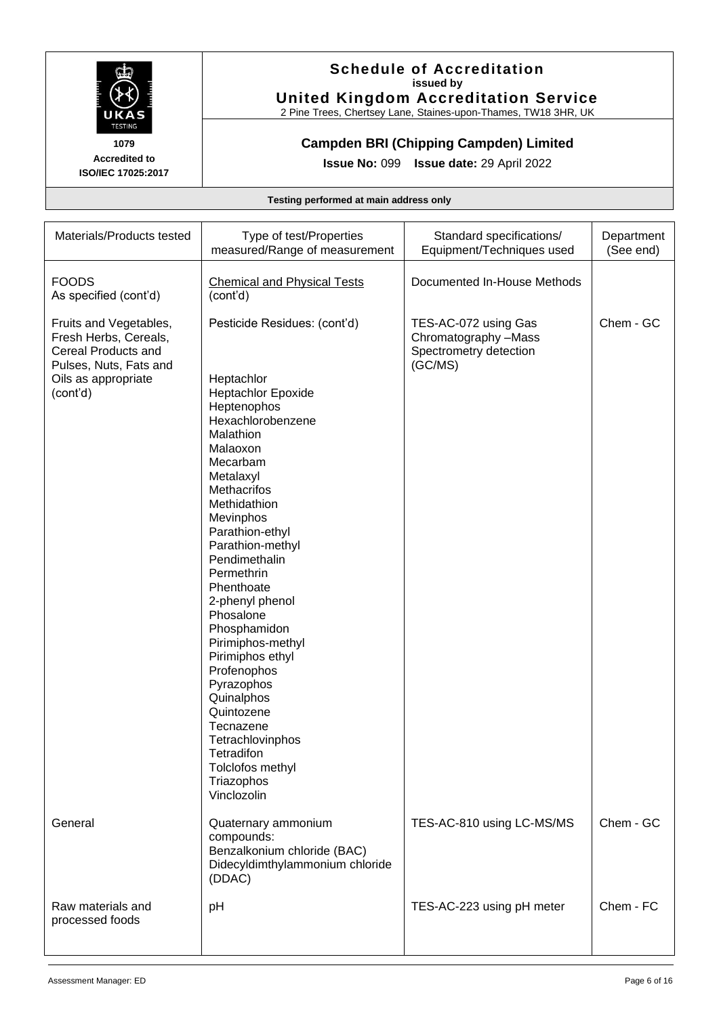

## **Schedule of Accreditation issued by United Kingdom Accreditation Service**

2 Pine Trees, Chertsey Lane, Staines-upon-Thames, TW18 3HR, UK

## **Campden BRI (Chipping Campden) Limited**

**Issue No:** 099 **Issue date:** 29 April 2022

| Materials/Products tested                                                                                                           | Type of test/Properties<br>measured/Range of measurement                                                                                                                                                                                                                                                                                                                                                                                                                                                                                        | Standard specifications/<br>Equipment/Techniques used                             | Department<br>(See end) |
|-------------------------------------------------------------------------------------------------------------------------------------|-------------------------------------------------------------------------------------------------------------------------------------------------------------------------------------------------------------------------------------------------------------------------------------------------------------------------------------------------------------------------------------------------------------------------------------------------------------------------------------------------------------------------------------------------|-----------------------------------------------------------------------------------|-------------------------|
| <b>FOODS</b><br>As specified (cont'd)                                                                                               | <b>Chemical and Physical Tests</b><br>(cont'd)                                                                                                                                                                                                                                                                                                                                                                                                                                                                                                  | Documented In-House Methods                                                       |                         |
| Fruits and Vegetables,<br>Fresh Herbs, Cereals,<br>Cereal Products and<br>Pulses, Nuts, Fats and<br>Oils as appropriate<br>(cont'd) | Pesticide Residues: (cont'd)<br>Heptachlor<br><b>Heptachlor Epoxide</b><br>Heptenophos<br>Hexachlorobenzene<br>Malathion<br>Malaoxon<br>Mecarbam<br>Metalaxyl<br>Methacrifos<br>Methidathion<br>Mevinphos<br>Parathion-ethyl<br>Parathion-methyl<br>Pendimethalin<br>Permethrin<br>Phenthoate<br>2-phenyl phenol<br>Phosalone<br>Phosphamidon<br>Pirimiphos-methyl<br>Pirimiphos ethyl<br>Profenophos<br>Pyrazophos<br>Quinalphos<br>Quintozene<br>Tecnazene<br>Tetrachlovinphos<br>Tetradifon<br>Tolclofos methyl<br>Triazophos<br>Vinclozolin | TES-AC-072 using Gas<br>Chromatography -Mass<br>Spectrometry detection<br>(GC/MS) | Chem - GC               |
| General                                                                                                                             | Quaternary ammonium<br>compounds:<br>Benzalkonium chloride (BAC)<br>Didecyldimthylammonium chloride<br>(DDAC)                                                                                                                                                                                                                                                                                                                                                                                                                                   | TES-AC-810 using LC-MS/MS                                                         | Chem - GC               |
| Raw materials and<br>processed foods                                                                                                | pH                                                                                                                                                                                                                                                                                                                                                                                                                                                                                                                                              | TES-AC-223 using pH meter                                                         | Chem - FC               |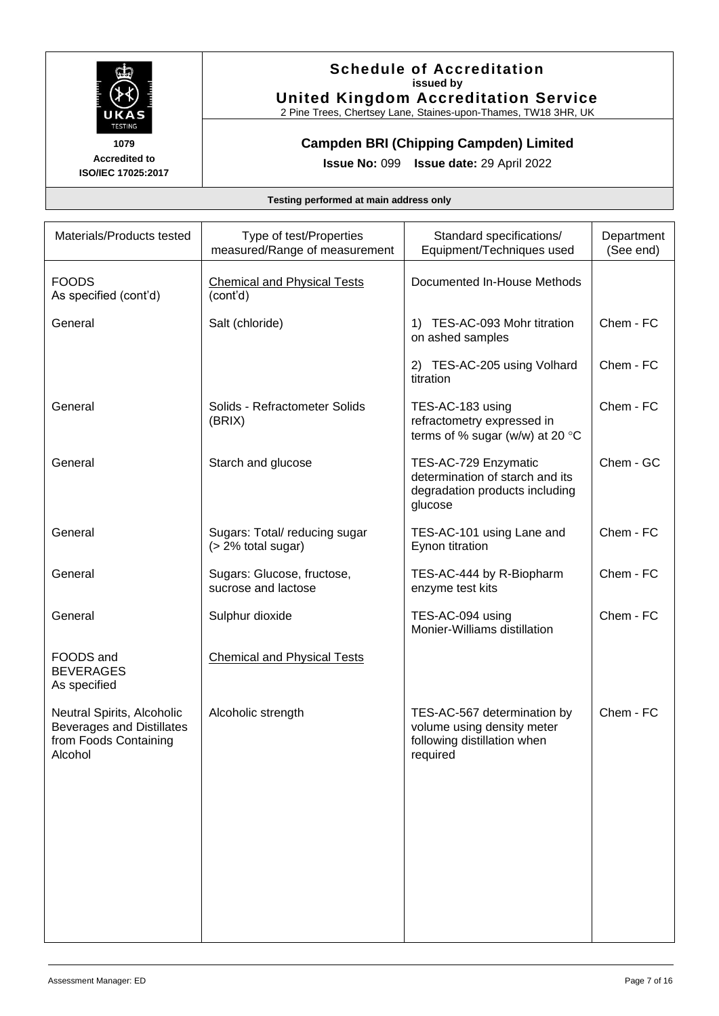

## **Schedule of Accreditation issued by United Kingdom Accreditation Service**

2 Pine Trees, Chertsey Lane, Staines-upon-Thames, TW18 3HR, UK

## **Campden BRI (Chipping Campden) Limited**

**Issue No:** 099 **Issue date:** 29 April 2022

| Materials/Products tested                                                                          | Type of test/Properties<br>measured/Range of measurement | Standard specifications/<br>Equipment/Techniques used                                                | Department<br>(See end) |
|----------------------------------------------------------------------------------------------------|----------------------------------------------------------|------------------------------------------------------------------------------------------------------|-------------------------|
| <b>FOODS</b><br>As specified (cont'd)                                                              | <b>Chemical and Physical Tests</b><br>(cont'd)           | Documented In-House Methods                                                                          |                         |
| General                                                                                            | Salt (chloride)                                          | 1) TES-AC-093 Mohr titration<br>on ashed samples                                                     | Chem - FC               |
|                                                                                                    |                                                          | 2) TES-AC-205 using Volhard<br>titration                                                             | Chem - FC               |
| General                                                                                            | Solids - Refractometer Solids<br>(BRIX)                  | TES-AC-183 using<br>refractometry expressed in<br>terms of % sugar (w/w) at 20 $^{\circ}$ C          | Chem - FC               |
| General                                                                                            | Starch and glucose                                       | TES-AC-729 Enzymatic<br>determination of starch and its<br>degradation products including<br>glucose | Chem - GC               |
| General                                                                                            | Sugars: Total/reducing sugar<br>(> 2% total sugar)       | TES-AC-101 using Lane and<br>Eynon titration                                                         | Chem - FC               |
| General                                                                                            | Sugars: Glucose, fructose,<br>sucrose and lactose        | TES-AC-444 by R-Biopharm<br>enzyme test kits                                                         | Chem - FC               |
| General                                                                                            | Sulphur dioxide                                          | TES-AC-094 using<br>Monier-Williams distillation                                                     | Chem - FC               |
| FOODS and<br><b>BEVERAGES</b><br>As specified                                                      | <b>Chemical and Physical Tests</b>                       |                                                                                                      |                         |
| Neutral Spirits, Alcoholic<br><b>Beverages and Distillates</b><br>from Foods Containing<br>Alcohol | Alcoholic strength                                       | TES-AC-567 determination by<br>volume using density meter<br>following distillation when<br>required | Chem - FC               |
|                                                                                                    |                                                          |                                                                                                      |                         |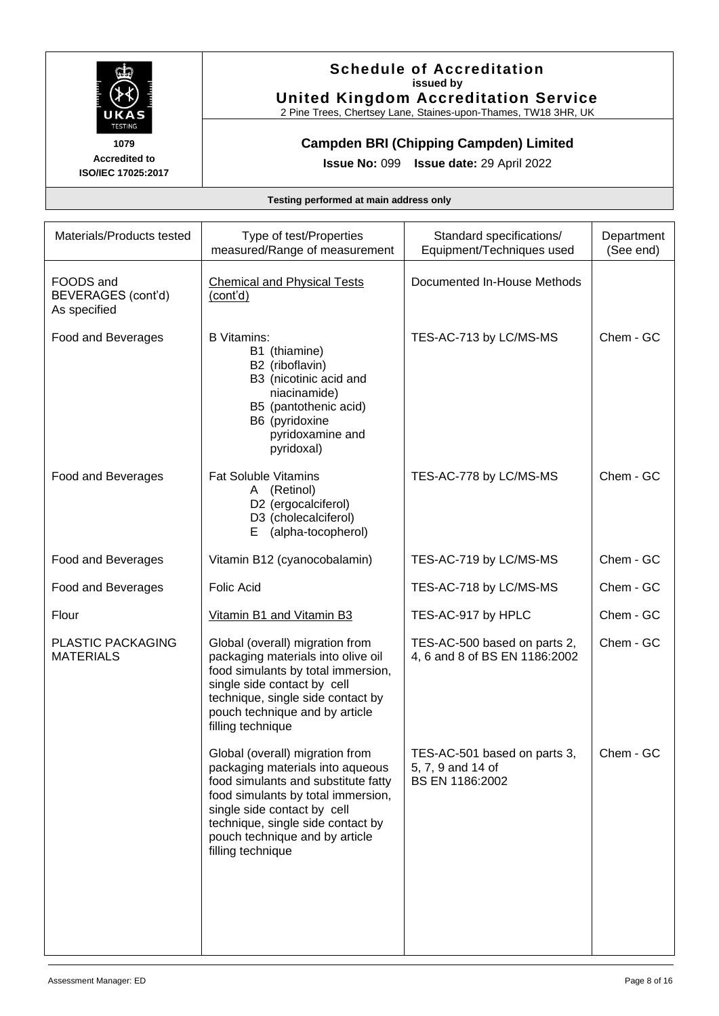

## **Schedule of Accreditation issued by United Kingdom Accreditation Service**

2 Pine Trees, Chertsey Lane, Staines-upon-Thames, TW18 3HR, UK

## **Campden BRI (Chipping Campden) Limited**

**Issue No:** 099 **Issue date:** 29 April 2022

| Documented In-House Methods<br><b>Chemical and Physical Tests</b><br>TES-AC-713 by LC/MS-MS<br>Chem - GC                                                                                                                                                                                                                                                                                                      |
|---------------------------------------------------------------------------------------------------------------------------------------------------------------------------------------------------------------------------------------------------------------------------------------------------------------------------------------------------------------------------------------------------------------|
|                                                                                                                                                                                                                                                                                                                                                                                                               |
|                                                                                                                                                                                                                                                                                                                                                                                                               |
| TES-AC-778 by LC/MS-MS<br>Chem - GC                                                                                                                                                                                                                                                                                                                                                                           |
| TES-AC-719 by LC/MS-MS<br>Chem - GC                                                                                                                                                                                                                                                                                                                                                                           |
| TES-AC-718 by LC/MS-MS<br>Chem - GC                                                                                                                                                                                                                                                                                                                                                                           |
| TES-AC-917 by HPLC<br>Chem - GC                                                                                                                                                                                                                                                                                                                                                                               |
| Chem - GC<br>TES-AC-500 based on parts 2,<br>packaging materials into olive oil<br>4, 6 and 8 of BS EN 1186:2002<br>food simulants by total immersion,<br>technique, single side contact by                                                                                                                                                                                                                   |
| TES-AC-501 based on parts 3,<br>Chem - GC<br>packaging materials into aqueous<br>5, 7, 9 and 14 of<br>food simulants and substitute fatty<br>BS EN 1186:2002<br>food simulants by total immersion,<br>technique, single side contact by                                                                                                                                                                       |
| B3 (nicotinic acid and<br>B5 (pantothenic acid)<br>pyridoxamine and<br>D2 (ergocalciferol)<br>D3 (cholecalciferol)<br>(alpha-tocopherol)<br>Vitamin B12 (cyanocobalamin)<br>Vitamin B1 and Vitamin B3<br>Global (overall) migration from<br>single side contact by cell<br>pouch technique and by article<br>Global (overall) migration from<br>single side contact by cell<br>pouch technique and by article |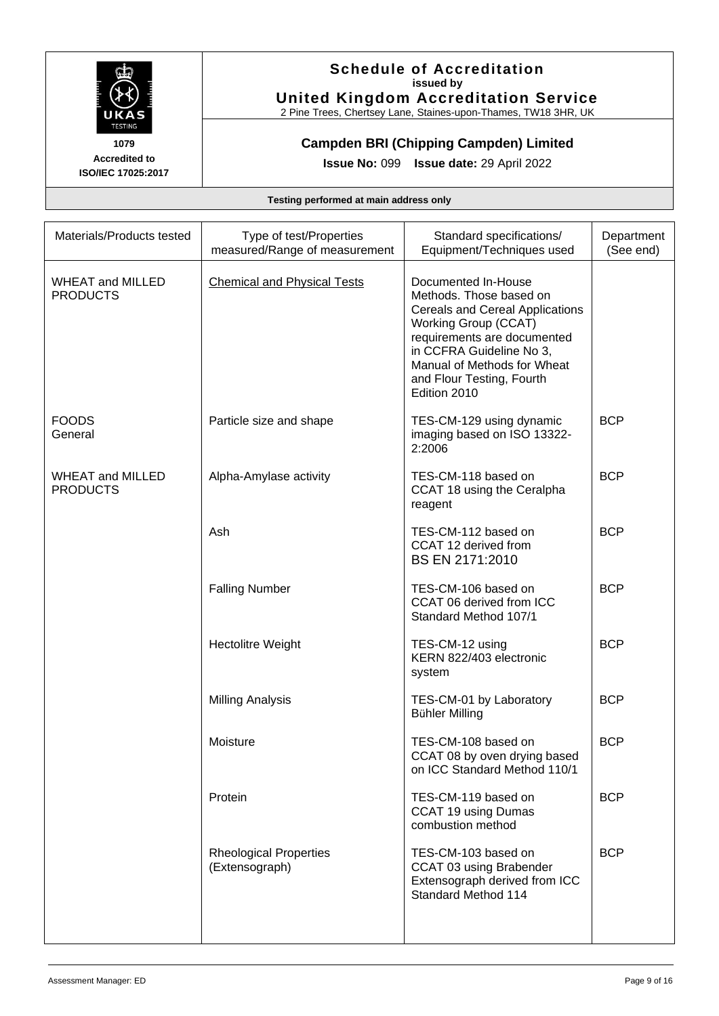

## **Schedule of Accreditation issued by United Kingdom Accreditation Service**

2 Pine Trees, Chertsey Lane, Staines-upon-Thames, TW18 3HR, UK

**Campden BRI (Chipping Campden) Limited** 

**Issue No:** 099 **Issue date:** 29 April 2022

| Materials/Products tested                  | Type of test/Properties<br>measured/Range of measurement | Standard specifications/<br>Equipment/Techniques used                                                                                                                                                                                                          | Department<br>(See end) |
|--------------------------------------------|----------------------------------------------------------|----------------------------------------------------------------------------------------------------------------------------------------------------------------------------------------------------------------------------------------------------------------|-------------------------|
| <b>WHEAT and MILLED</b><br><b>PRODUCTS</b> | <b>Chemical and Physical Tests</b>                       | Documented In-House<br>Methods. Those based on<br><b>Cereals and Cereal Applications</b><br><b>Working Group (CCAT)</b><br>requirements are documented<br>in CCFRA Guideline No 3,<br>Manual of Methods for Wheat<br>and Flour Testing, Fourth<br>Edition 2010 |                         |
| <b>FOODS</b><br>General                    | Particle size and shape                                  | TES-CM-129 using dynamic<br>imaging based on ISO 13322-<br>2:2006                                                                                                                                                                                              | <b>BCP</b>              |
| <b>WHEAT and MILLED</b><br><b>PRODUCTS</b> | Alpha-Amylase activity                                   | TES-CM-118 based on<br>CCAT 18 using the Ceralpha<br>reagent                                                                                                                                                                                                   | <b>BCP</b>              |
|                                            | Ash                                                      | TES-CM-112 based on<br>CCAT 12 derived from<br>BS EN 2171:2010                                                                                                                                                                                                 | <b>BCP</b>              |
|                                            | <b>Falling Number</b>                                    | TES-CM-106 based on<br>CCAT 06 derived from ICC<br>Standard Method 107/1                                                                                                                                                                                       | <b>BCP</b>              |
|                                            | <b>Hectolitre Weight</b>                                 | TES-CM-12 using<br>KERN 822/403 electronic<br>system                                                                                                                                                                                                           | <b>BCP</b>              |
|                                            | <b>Milling Analysis</b>                                  | TES-CM-01 by Laboratory<br><b>Bühler Milling</b>                                                                                                                                                                                                               | <b>BCP</b>              |
|                                            | Moisture                                                 | TES-CM-108 based on<br>CCAT 08 by oven drying based<br>on ICC Standard Method 110/1                                                                                                                                                                            | <b>BCP</b>              |
|                                            | Protein                                                  | TES-CM-119 based on<br>CCAT 19 using Dumas<br>combustion method                                                                                                                                                                                                | <b>BCP</b>              |
|                                            | <b>Rheological Properties</b><br>(Extensograph)          | TES-CM-103 based on<br>CCAT 03 using Brabender<br>Extensograph derived from ICC<br>Standard Method 114                                                                                                                                                         | <b>BCP</b>              |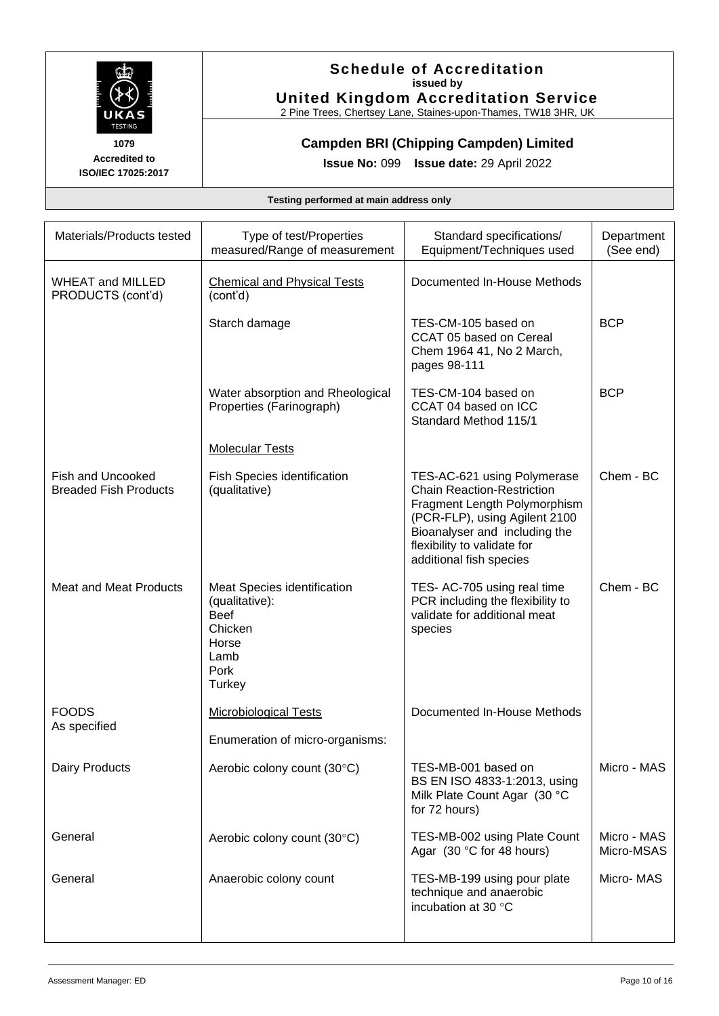

## **Schedule of Accreditation issued by United Kingdom Accreditation Service**

2 Pine Trees, Chertsey Lane, Staines-upon-Thames, TW18 3HR, UK

## **Campden BRI (Chipping Campden) Limited**

**Issue No:** 099 **Issue date:** 29 April 2022

| Materials/Products tested                                | Type of test/Properties<br>measured/Range of measurement                                                   | Standard specifications/<br>Equipment/Techniques used                                                                                                                                                                        | Department<br>(See end)   |
|----------------------------------------------------------|------------------------------------------------------------------------------------------------------------|------------------------------------------------------------------------------------------------------------------------------------------------------------------------------------------------------------------------------|---------------------------|
| <b>WHEAT and MILLED</b><br>PRODUCTS (cont'd)             | <b>Chemical and Physical Tests</b><br>(cont'd)                                                             | Documented In-House Methods                                                                                                                                                                                                  |                           |
|                                                          | Starch damage                                                                                              | TES-CM-105 based on<br>CCAT 05 based on Cereal<br>Chem 1964 41, No 2 March,<br>pages 98-111                                                                                                                                  | <b>BCP</b>                |
|                                                          | Water absorption and Rheological<br>Properties (Farinograph)                                               | TES-CM-104 based on<br>CCAT 04 based on ICC<br>Standard Method 115/1                                                                                                                                                         | <b>BCP</b>                |
|                                                          | <b>Molecular Tests</b>                                                                                     |                                                                                                                                                                                                                              |                           |
| <b>Fish and Uncooked</b><br><b>Breaded Fish Products</b> | Fish Species identification<br>(qualitative)                                                               | TES-AC-621 using Polymerase<br><b>Chain Reaction-Restriction</b><br>Fragment Length Polymorphism<br>(PCR-FLP), using Agilent 2100<br>Bioanalyser and including the<br>flexibility to validate for<br>additional fish species | Chem - BC                 |
| <b>Meat and Meat Products</b>                            | Meat Species identification<br>(qualitative):<br><b>Beef</b><br>Chicken<br>Horse<br>Lamb<br>Pork<br>Turkey | TES- AC-705 using real time<br>PCR including the flexibility to<br>validate for additional meat<br>species                                                                                                                   | Chem - BC                 |
| <b>FOODS</b><br>As specified                             | <b>Microbiological Tests</b>                                                                               | Documented In-House Methods                                                                                                                                                                                                  |                           |
|                                                          | Enumeration of micro-organisms:                                                                            |                                                                                                                                                                                                                              |                           |
| Dairy Products                                           | Aerobic colony count (30°C)                                                                                | TES-MB-001 based on<br>BS EN ISO 4833-1:2013, using<br>Milk Plate Count Agar (30 °C<br>for 72 hours)                                                                                                                         | Micro - MAS               |
| General                                                  | Aerobic colony count (30°C)                                                                                | TES-MB-002 using Plate Count<br>Agar (30 °C for 48 hours)                                                                                                                                                                    | Micro - MAS<br>Micro-MSAS |
| General                                                  | Anaerobic colony count                                                                                     | TES-MB-199 using pour plate<br>technique and anaerobic<br>incubation at 30 °C                                                                                                                                                | Micro-MAS                 |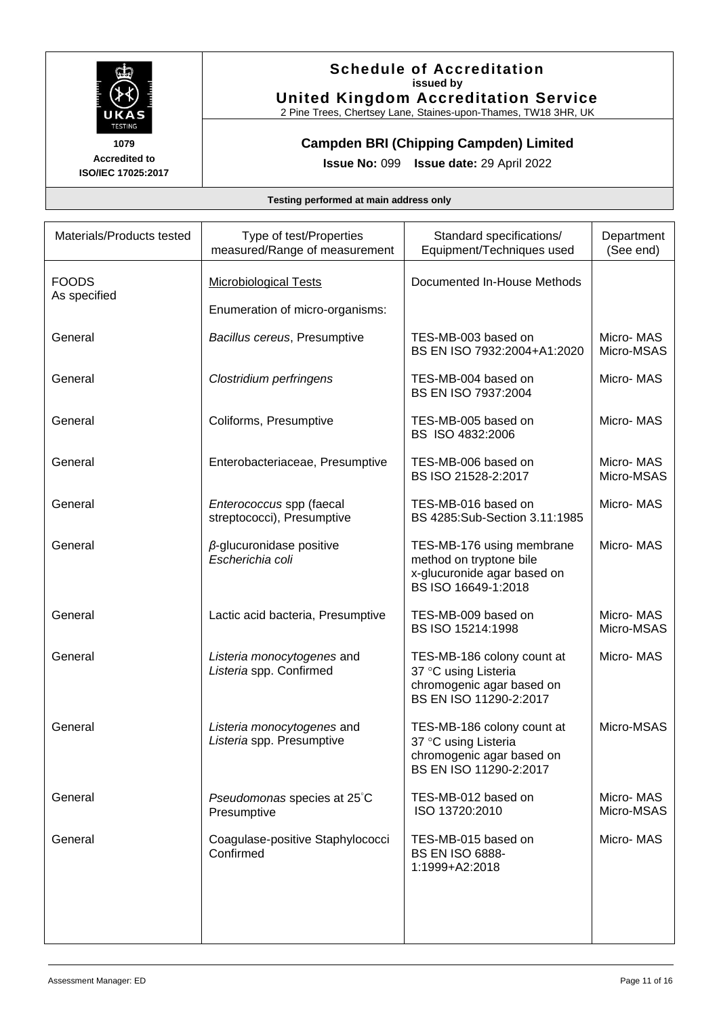

## **Schedule of Accreditation issued by United Kingdom Accreditation Service**

2 Pine Trees, Chertsey Lane, Staines-upon-Thames, TW18 3HR, UK

**Campden BRI (Chipping Campden) Limited** 

**Issue No:** 099 **Issue date:** 29 April 2022

| Materials/Products tested    | Type of test/Properties<br>measured/Range of measurement | Standard specifications/<br>Equipment/Techniques used                                                      | Department<br>(See end) |
|------------------------------|----------------------------------------------------------|------------------------------------------------------------------------------------------------------------|-------------------------|
| <b>FOODS</b><br>As specified | <b>Microbiological Tests</b>                             | Documented In-House Methods                                                                                |                         |
|                              | Enumeration of micro-organisms:                          |                                                                                                            |                         |
| General                      | Bacillus cereus, Presumptive                             | TES-MB-003 based on<br>BS EN ISO 7932:2004+A1:2020                                                         | Micro-MAS<br>Micro-MSAS |
| General                      | Clostridium perfringens                                  | TES-MB-004 based on<br>BS EN ISO 7937:2004                                                                 | Micro-MAS               |
| General                      | Coliforms, Presumptive                                   | TES-MB-005 based on<br>BS ISO 4832:2006                                                                    | Micro-MAS               |
| General                      | Enterobacteriaceae, Presumptive                          | TES-MB-006 based on<br>BS ISO 21528-2:2017                                                                 | Micro-MAS<br>Micro-MSAS |
| General                      | Enterococcus spp (faecal<br>streptococci), Presumptive   | TES-MB-016 based on<br>BS 4285:Sub-Section 3.11:1985                                                       | Micro-MAS               |
| General                      | $\beta$ -glucuronidase positive<br>Escherichia coli      | TES-MB-176 using membrane<br>method on tryptone bile<br>x-glucuronide agar based on<br>BS ISO 16649-1:2018 | Micro-MAS               |
| General                      | Lactic acid bacteria, Presumptive                        | TES-MB-009 based on<br>BS ISO 15214:1998                                                                   | Micro-MAS<br>Micro-MSAS |
| General                      | Listeria monocytogenes and<br>Listeria spp. Confirmed    | TES-MB-186 colony count at<br>37 °C using Listeria<br>chromogenic agar based on<br>BS EN ISO 11290-2:2017  | Micro-MAS               |
| General                      | Listeria monocytogenes and<br>Listeria spp. Presumptive  | TES-MB-186 colony count at<br>37 °C using Listeria<br>chromogenic agar based on<br>BS EN ISO 11290-2:2017  | Micro-MSAS              |
| General                      | Pseudomonas species at 25°C<br>Presumptive               | TES-MB-012 based on<br>ISO 13720:2010                                                                      | Micro-MAS<br>Micro-MSAS |
| General                      | Coagulase-positive Staphylococci<br>Confirmed            | TES-MB-015 based on<br><b>BS EN ISO 6888-</b><br>1:1999+A2:2018                                            | Micro-MAS               |
|                              |                                                          |                                                                                                            |                         |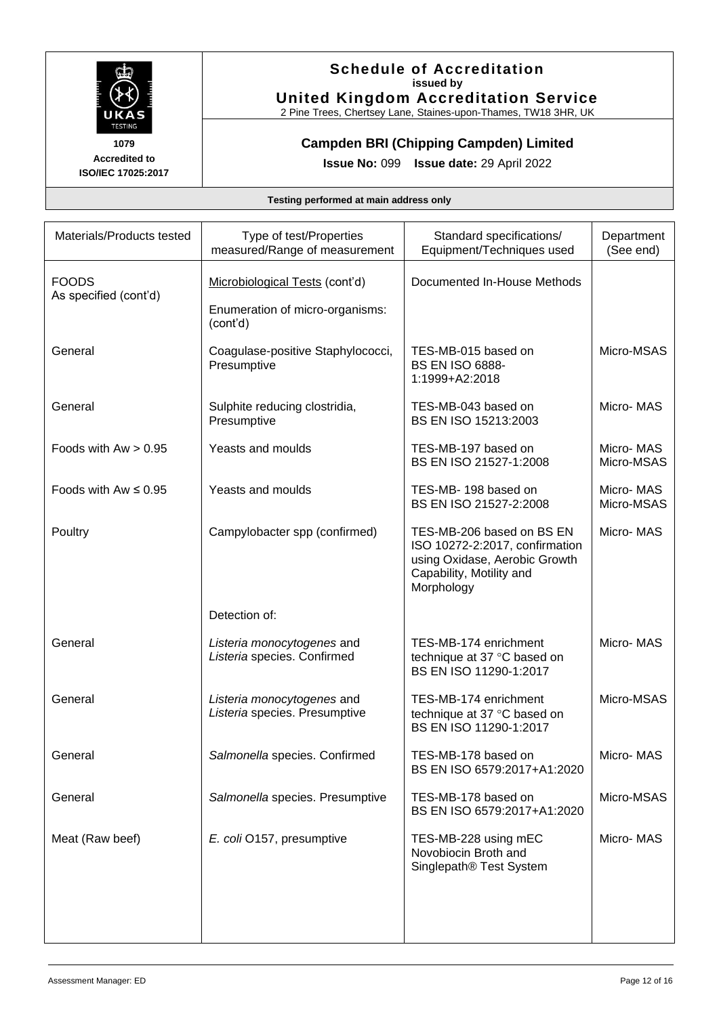

## **Schedule of Accreditation issued by United Kingdom Accreditation Service**

2 Pine Trees, Chertsey Lane, Staines-upon-Thames, TW18 3HR, UK

**Campden BRI (Chipping Campden) Limited** 

**Issue No:** 099 **Issue date:** 29 April 2022

| Materials/Products tested             | Type of test/Properties<br>measured/Range of measurement    | Standard specifications/<br>Equipment/Techniques used                                                                                  | Department<br>(See end) |
|---------------------------------------|-------------------------------------------------------------|----------------------------------------------------------------------------------------------------------------------------------------|-------------------------|
| <b>FOODS</b><br>As specified (cont'd) | Microbiological Tests (cont'd)                              | Documented In-House Methods                                                                                                            |                         |
|                                       | Enumeration of micro-organisms:<br>(cont'd)                 |                                                                                                                                        |                         |
| General                               | Coagulase-positive Staphylococci,<br>Presumptive            | TES-MB-015 based on<br><b>BS EN ISO 6888-</b><br>1:1999+A2:2018                                                                        | Micro-MSAS              |
| General                               | Sulphite reducing clostridia,<br>Presumptive                | TES-MB-043 based on<br>BS EN ISO 15213:2003                                                                                            | Micro-MAS               |
| Foods with $Aw > 0.95$                | Yeasts and moulds                                           | TES-MB-197 based on<br>BS EN ISO 21527-1:2008                                                                                          | Micro-MAS<br>Micro-MSAS |
| Foods with $Aw \leq 0.95$             | Yeasts and moulds                                           | TES-MB-198 based on<br>BS EN ISO 21527-2:2008                                                                                          | Micro-MAS<br>Micro-MSAS |
| Poultry                               | Campylobacter spp (confirmed)                               | TES-MB-206 based on BS EN<br>ISO 10272-2:2017, confirmation<br>using Oxidase, Aerobic Growth<br>Capability, Motility and<br>Morphology | Micro-MAS               |
|                                       | Detection of:                                               |                                                                                                                                        |                         |
| General                               | Listeria monocytogenes and<br>Listeria species. Confirmed   | TES-MB-174 enrichment<br>technique at 37 °C based on<br>BS EN ISO 11290-1:2017                                                         | Micro-MAS               |
| General                               | Listeria monocytogenes and<br>Listeria species. Presumptive | TES-MB-174 enrichment<br>technique at 37 °C based on<br>BS EN ISO 11290-1:2017                                                         | Micro-MSAS              |
| General                               | Salmonella species. Confirmed                               | TES-MB-178 based on<br>BS EN ISO 6579:2017+A1:2020                                                                                     | Micro-MAS               |
| General                               | Salmonella species. Presumptive                             | TES-MB-178 based on<br>BS EN ISO 6579:2017+A1:2020                                                                                     | Micro-MSAS              |
| Meat (Raw beef)                       | E. coli O157, presumptive                                   | TES-MB-228 using mEC<br>Novobiocin Broth and<br>Singlepath® Test System                                                                | Micro-MAS               |
|                                       |                                                             |                                                                                                                                        |                         |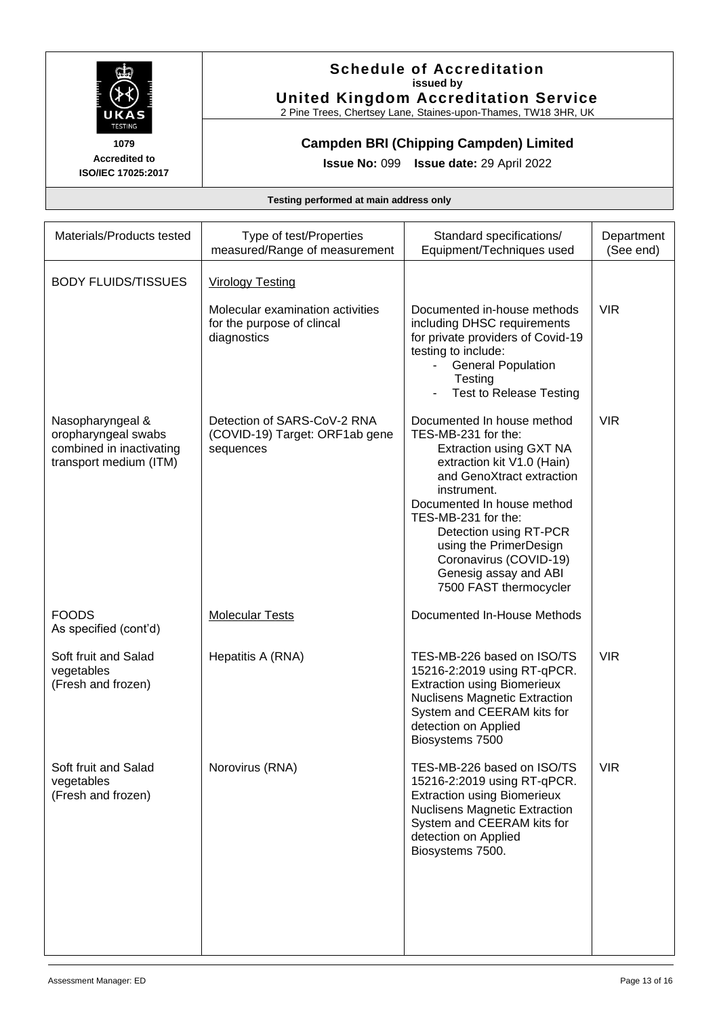

## **Schedule of Accreditation issued by United Kingdom Accreditation Service**

2 Pine Trees, Chertsey Lane, Staines-upon-Thames, TW18 3HR, UK

## **Campden BRI (Chipping Campden) Limited**

**Issue No:** 099 **Issue date:** 29 April 2022

| Materials/Products tested                                                                     | Type of test/Properties<br>measured/Range of measurement                      | Standard specifications/<br>Equipment/Techniques used                                                                                                                                                                                                                                                                                        | Department<br>(See end) |
|-----------------------------------------------------------------------------------------------|-------------------------------------------------------------------------------|----------------------------------------------------------------------------------------------------------------------------------------------------------------------------------------------------------------------------------------------------------------------------------------------------------------------------------------------|-------------------------|
| <b>BODY FLUIDS/TISSUES</b>                                                                    | <b>Virology Testing</b>                                                       |                                                                                                                                                                                                                                                                                                                                              |                         |
|                                                                                               | Molecular examination activities<br>for the purpose of clincal<br>diagnostics | Documented in-house methods<br>including DHSC requirements<br>for private providers of Covid-19<br>testing to include:<br><b>General Population</b><br>Testing<br><b>Test to Release Testing</b>                                                                                                                                             | <b>VIR</b>              |
| Nasopharyngeal &<br>oropharyngeal swabs<br>combined in inactivating<br>transport medium (ITM) | Detection of SARS-CoV-2 RNA<br>(COVID-19) Target: ORF1ab gene<br>sequences    | Documented In house method<br>TES-MB-231 for the:<br>Extraction using GXT NA<br>extraction kit V1.0 (Hain)<br>and GenoXtract extraction<br>instrument.<br>Documented In house method<br>TES-MB-231 for the:<br>Detection using RT-PCR<br>using the PrimerDesign<br>Coronavirus (COVID-19)<br>Genesig assay and ABI<br>7500 FAST thermocycler | <b>VIR</b>              |
| <b>FOODS</b><br>As specified (cont'd)                                                         | <b>Molecular Tests</b>                                                        | Documented In-House Methods                                                                                                                                                                                                                                                                                                                  |                         |
| Soft fruit and Salad<br>vegetables<br>(Fresh and frozen)                                      | Hepatitis A (RNA)                                                             | TES-MB-226 based on ISO/TS<br>15216-2:2019 using RT-qPCR.<br><b>Extraction using Biomerieux</b><br><b>Nuclisens Magnetic Extraction</b><br>System and CEERAM kits for<br>detection on Applied<br>Biosystems 7500                                                                                                                             | <b>VIR</b>              |
| Soft fruit and Salad<br>vegetables<br>(Fresh and frozen)                                      | Norovirus (RNA)                                                               | TES-MB-226 based on ISO/TS<br>15216-2:2019 using RT-qPCR.<br><b>Extraction using Biomerieux</b><br><b>Nuclisens Magnetic Extraction</b><br>System and CEERAM kits for<br>detection on Applied<br>Biosystems 7500.                                                                                                                            | <b>VIR</b>              |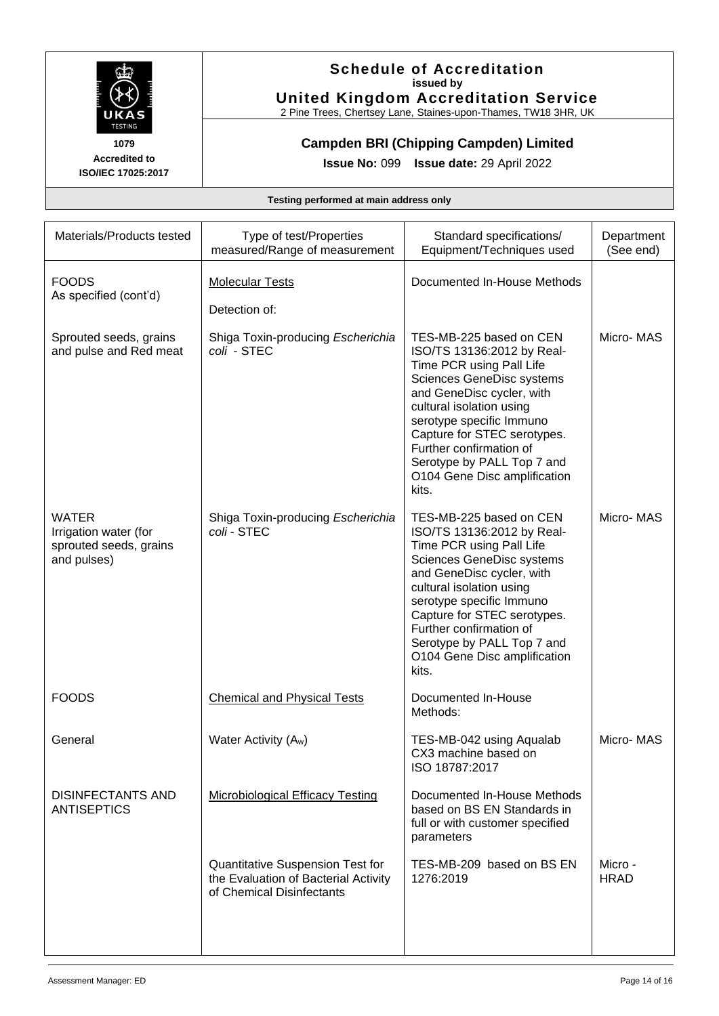

## **Schedule of Accreditation issued by United Kingdom Accreditation Service**

2 Pine Trees, Chertsey Lane, Staines-upon-Thames, TW18 3HR, UK

## **Campden BRI (Chipping Campden) Limited**

**Issue No:** 099 **Issue date:** 29 April 2022

| Materials/Products tested                                                      | Type of test/Properties<br>measured/Range of measurement                                              | Standard specifications/<br>Equipment/Techniques used                                                                                                                                                                                                                                                                                | Department<br>(See end) |
|--------------------------------------------------------------------------------|-------------------------------------------------------------------------------------------------------|--------------------------------------------------------------------------------------------------------------------------------------------------------------------------------------------------------------------------------------------------------------------------------------------------------------------------------------|-------------------------|
| <b>FOODS</b><br>As specified (cont'd)                                          | <b>Molecular Tests</b><br>Detection of:                                                               | Documented In-House Methods                                                                                                                                                                                                                                                                                                          |                         |
| Sprouted seeds, grains<br>and pulse and Red meat                               | Shiga Toxin-producing Escherichia<br>coli - STEC                                                      | TES-MB-225 based on CEN<br>ISO/TS 13136:2012 by Real-<br>Time PCR using Pall Life<br>Sciences GeneDisc systems<br>and GeneDisc cycler, with<br>cultural isolation using<br>serotype specific Immuno<br>Capture for STEC serotypes.<br>Further confirmation of<br>Serotype by PALL Top 7 and<br>O104 Gene Disc amplification<br>kits. | Micro-MAS               |
| <b>WATER</b><br>Irrigation water (for<br>sprouted seeds, grains<br>and pulses) | Shiga Toxin-producing Escherichia<br>coli - STEC                                                      | TES-MB-225 based on CEN<br>ISO/TS 13136:2012 by Real-<br>Time PCR using Pall Life<br>Sciences GeneDisc systems<br>and GeneDisc cycler, with<br>cultural isolation using<br>serotype specific Immuno<br>Capture for STEC serotypes.<br>Further confirmation of<br>Serotype by PALL Top 7 and<br>O104 Gene Disc amplification<br>kits. | Micro-MAS               |
| <b>FOODS</b>                                                                   | <b>Chemical and Physical Tests</b>                                                                    | Documented In-House<br>Methods:                                                                                                                                                                                                                                                                                                      |                         |
| General                                                                        | Water Activity (A <sub>w</sub> )                                                                      | TES-MB-042 using Aqualab<br>CX3 machine based on<br>ISO 18787:2017                                                                                                                                                                                                                                                                   | Micro-MAS               |
| <b>DISINFECTANTS AND</b><br><b>ANTISEPTICS</b>                                 | <b>Microbiological Efficacy Testing</b>                                                               | Documented In-House Methods<br>based on BS EN Standards in<br>full or with customer specified<br>parameters                                                                                                                                                                                                                          |                         |
|                                                                                | Quantitative Suspension Test for<br>the Evaluation of Bacterial Activity<br>of Chemical Disinfectants | TES-MB-209 based on BS EN<br>1276:2019                                                                                                                                                                                                                                                                                               | Micro -<br><b>HRAD</b>  |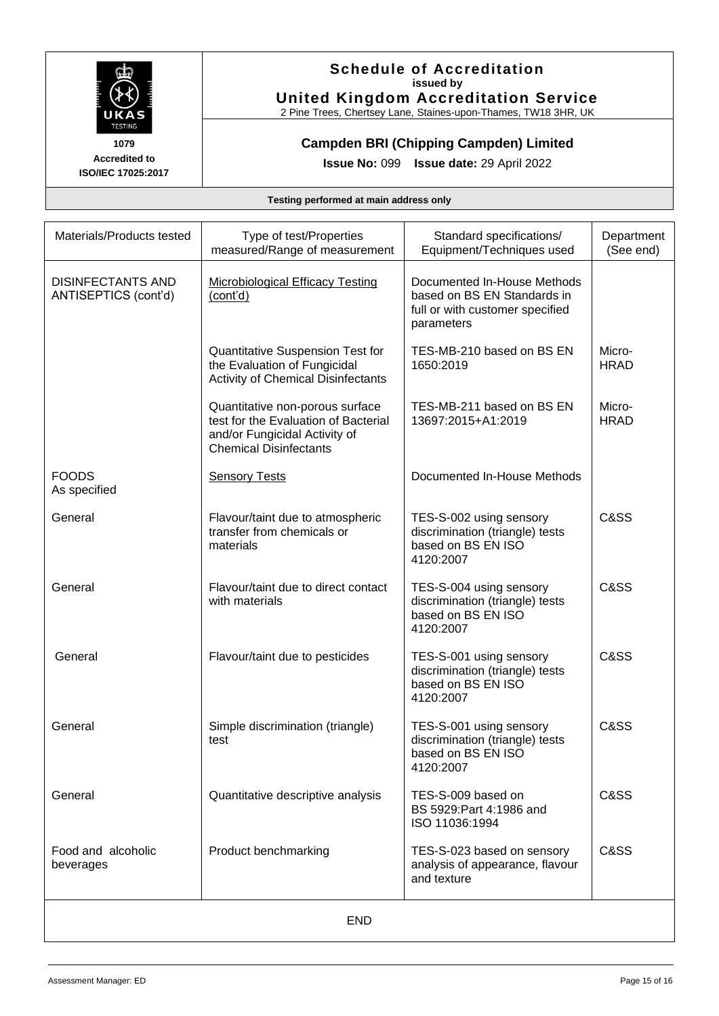

## **Schedule of Accreditation issued by United Kingdom Accreditation Service**

2 Pine Trees, Chertsey Lane, Staines-upon-Thames, TW18 3HR, UK

## **Campden BRI (Chipping Campden) Limited**

**Issue No:** 099 **Issue date:** 29 April 2022

| Materials/Products tested                        | Type of test/Properties<br>measured/Range of measurement                                                                                  | Standard specifications/<br>Equipment/Techniques used                                                       | Department<br>(See end) |  |
|--------------------------------------------------|-------------------------------------------------------------------------------------------------------------------------------------------|-------------------------------------------------------------------------------------------------------------|-------------------------|--|
| <b>DISINFECTANTS AND</b><br>ANTISEPTICS (cont'd) | <b>Microbiological Efficacy Testing</b><br>(cont'd)                                                                                       | Documented In-House Methods<br>based on BS EN Standards in<br>full or with customer specified<br>parameters |                         |  |
|                                                  | Quantitative Suspension Test for<br>the Evaluation of Fungicidal<br><b>Activity of Chemical Disinfectants</b>                             | TES-MB-210 based on BS EN<br>1650:2019                                                                      | Micro-<br><b>HRAD</b>   |  |
|                                                  | Quantitative non-porous surface<br>test for the Evaluation of Bacterial<br>and/or Fungicidal Activity of<br><b>Chemical Disinfectants</b> | TES-MB-211 based on BS EN<br>13697:2015+A1:2019                                                             | Micro-<br><b>HRAD</b>   |  |
| <b>FOODS</b><br>As specified                     | <b>Sensory Tests</b>                                                                                                                      | Documented In-House Methods                                                                                 |                         |  |
| General                                          | Flavour/taint due to atmospheric<br>transfer from chemicals or<br>materials                                                               | TES-S-002 using sensory<br>discrimination (triangle) tests<br>based on BS EN ISO<br>4120:2007               | C&SS                    |  |
| General                                          | Flavour/taint due to direct contact<br>with materials                                                                                     | TES-S-004 using sensory<br>discrimination (triangle) tests<br>based on BS EN ISO<br>4120:2007               | C&SS                    |  |
| General                                          | Flavour/taint due to pesticides                                                                                                           | TES-S-001 using sensory<br>discrimination (triangle) tests<br>based on BS EN ISO<br>4120:2007               | C&SS                    |  |
| General                                          | Simple discrimination (triangle)<br>test                                                                                                  | TES-S-001 using sensory<br>discrimination (triangle) tests<br>based on BS EN ISO<br>4120:2007               | C&SS                    |  |
| General                                          | Quantitative descriptive analysis                                                                                                         | TES-S-009 based on<br>BS 5929: Part 4: 1986 and<br>ISO 11036:1994                                           | C&SS                    |  |
| Food and alcoholic<br>beverages                  | Product benchmarking                                                                                                                      | TES-S-023 based on sensory<br>analysis of appearance, flavour<br>and texture                                | C&SS                    |  |
| END                                              |                                                                                                                                           |                                                                                                             |                         |  |